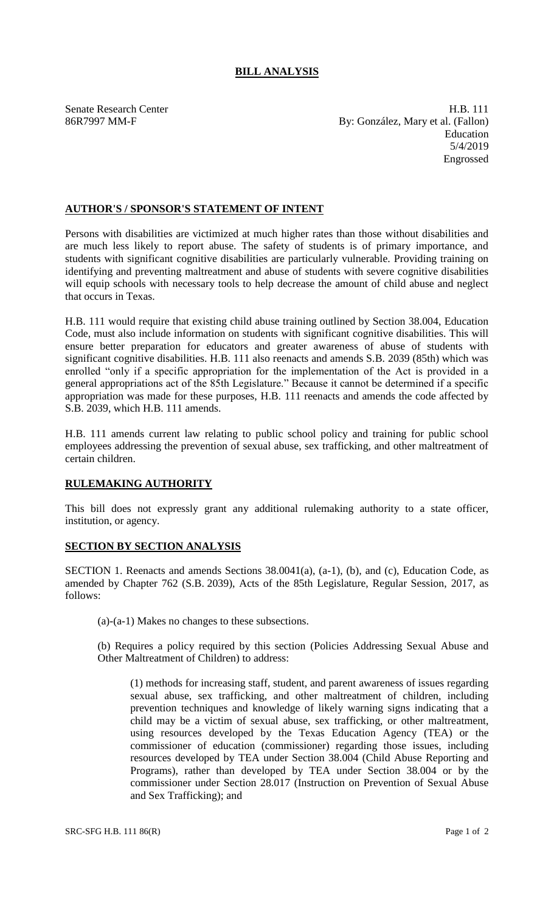## **BILL ANALYSIS**

Senate Research Center **H.B.** 111 86R7997 MM-F By: González, Mary et al. (Fallon) Education 5/4/2019 Engrossed

## **AUTHOR'S / SPONSOR'S STATEMENT OF INTENT**

Persons with disabilities are victimized at much higher rates than those without disabilities and are much less likely to report abuse. The safety of students is of primary importance, and students with significant cognitive disabilities are particularly vulnerable. Providing training on identifying and preventing maltreatment and abuse of students with severe cognitive disabilities will equip schools with necessary tools to help decrease the amount of child abuse and neglect that occurs in Texas.

H.B. 111 would require that existing child abuse training outlined by Section 38.004, Education Code, must also include information on students with significant cognitive disabilities. This will ensure better preparation for educators and greater awareness of abuse of students with significant cognitive disabilities. H.B. 111 also reenacts and amends S.B. 2039 (85th) which was enrolled "only if a specific appropriation for the implementation of the Act is provided in a general appropriations act of the 85th Legislature." Because it cannot be determined if a specific appropriation was made for these purposes, H.B. 111 reenacts and amends the code affected by S.B. 2039, which H.B. 111 amends.

H.B. 111 amends current law relating to public school policy and training for public school employees addressing the prevention of sexual abuse, sex trafficking, and other maltreatment of certain children.

## **RULEMAKING AUTHORITY**

This bill does not expressly grant any additional rulemaking authority to a state officer, institution, or agency.

## **SECTION BY SECTION ANALYSIS**

SECTION 1. Reenacts and amends Sections 38.0041(a), (a-1), (b), and (c), Education Code, as amended by Chapter 762 (S.B. 2039), Acts of the 85th Legislature, Regular Session, 2017, as follows:

(a)-(a-1) Makes no changes to these subsections.

(b) Requires a policy required by this section (Policies Addressing Sexual Abuse and Other Maltreatment of Children) to address:

(1) methods for increasing staff, student, and parent awareness of issues regarding sexual abuse, sex trafficking, and other maltreatment of children, including prevention techniques and knowledge of likely warning signs indicating that a child may be a victim of sexual abuse, sex trafficking, or other maltreatment, using resources developed by the Texas Education Agency (TEA) or the commissioner of education (commissioner) regarding those issues, including resources developed by TEA under Section 38.004 (Child Abuse Reporting and Programs), rather than developed by TEA under Section 38.004 or by the commissioner under Section 28.017 (Instruction on Prevention of Sexual Abuse and Sex Trafficking); and